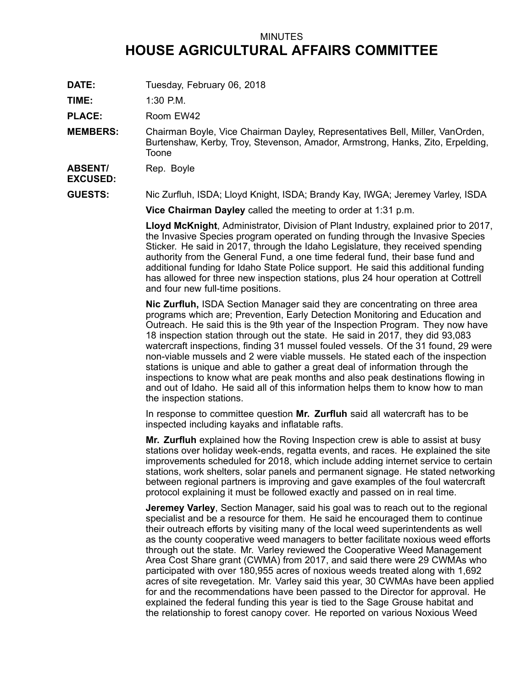## MINUTES **HOUSE AGRICULTURAL AFFAIRS COMMITTEE**

**DATE:** Tuesday, February 06, 2018

**TIME:** 1:30 P.M.

PLACE: Room EW42

**MEMBERS:** Chairman Boyle, Vice Chairman Dayley, Representatives Bell, Miller, VanOrden, Burtenshaw, Kerby, Troy, Stevenson, Amador, Armstrong, Hanks, Zito, Erpelding, Toone

**ABSENT/** Rep. Boyle

**EXCUSED:**

**GUESTS:** Nic Zurfluh, ISDA; Lloyd Knight, ISDA; Brandy Kay, IWGA; Jeremey Varley, ISDA

**Vice Chairman Dayley** called the meeting to order at 1:31 p.m.

**Lloyd McKnight**, Administrator, Division of Plant Industry, explained prior to 2017, the Invasive Species program operated on funding through the Invasive Species Sticker. He said in 2017, through the Idaho Legislature, they received spending authority from the General Fund, <sup>a</sup> one time federal fund, their base fund and additional funding for Idaho State Police support. He said this additional funding has allowed for three new inspection stations, plus 24 hour operation at Cottrell and four new full-time positions.

**Nic Zurfluh,** ISDA Section Manager said they are concentrating on three area programs which are; Prevention, Early Detection Monitoring and Education and Outreach. He said this is the 9th year of the Inspection Program. They now have 18 inspection station through out the state. He said in 2017, they did 93,083 watercraft inspections, finding 31 mussel fouled vessels. Of the 31 found, 29 were non-viable mussels and 2 were viable mussels. He stated each of the inspection stations is unique and able to gather <sup>a</sup> great deal of information through the inspections to know what are peak months and also peak destinations flowing in and out of Idaho. He said all of this information helps them to know how to man the inspection stations.

In response to committee question **Mr. Zurfluh** said all watercraft has to be inspected including kayaks and inflatable rafts.

**Mr. Zurfluh** explained how the Roving Inspection crew is able to assist at busy stations over holiday week-ends, regatta events, and races. He explained the site improvements scheduled for 2018, which include adding internet service to certain stations, work shelters, solar panels and permanent signage. He stated networking between regional partners is improving and gave examples of the foul watercraft protocol explaining it must be followed exactly and passed on in real time.

**Jeremey Varley**, Section Manager, said his goal was to reach out to the regional specialist and be <sup>a</sup> resource for them. He said he encouraged them to continue their outreach efforts by visiting many of the local weed superintendents as well as the county cooperative weed managers to better facilitate noxious weed efforts through out the state. Mr. Varley reviewed the Cooperative Weed Management Area Cost Share grant (CWMA) from 2017, and said there were 29 CWMAs who participated with over 180,955 acres of noxious weeds treated along with 1,692 acres of site revegetation. Mr. Varley said this year, 30 CWMAs have been applied for and the recommendations have been passed to the Director for approval. He explained the federal funding this year is tied to the Sage Grouse habitat and the relationship to forest canopy cover. He reported on various Noxious Weed